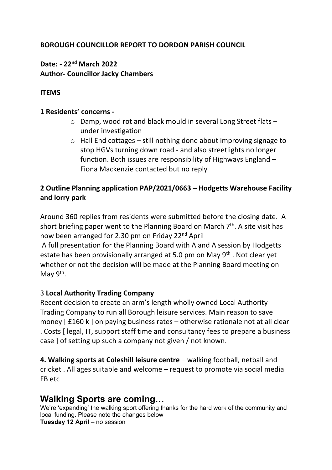## **BOROUGH COUNCILLOR REPORT TO DORDON PARISH COUNCIL**

## **Date: - 22nd March 2022 Author- Councillor Jacky Chambers**

### **ITEMS**

#### **1 Residents' concerns -**

- o Damp, wood rot and black mould in several Long Street flats under investigation
- o Hall End cottages still nothing done about improving signage to stop HGVs turning down road - and also streetlights no longer function. Both issues are responsibility of Highways England – Fiona Mackenzie contacted but no reply

## **2 Outline Planning application PAP/2021/0663 – Hodgetts Warehouse Facility and lorry park**

Around 360 replies from residents were submitted before the closing date. A short briefing paper went to the Planning Board on March  $7<sup>th</sup>$ . A site visit has now been arranged for 2.30 pm on Friday 22nd April A full presentation for the Planning Board with A and A session by Hodgetts

estate has been provisionally arranged at 5.0 pm on May 9<sup>th</sup>. Not clear yet whether or not the decision will be made at the Planning Board meeting on May  $9<sup>th</sup>$ .

### 3 **Local Authority Trading Company**

Recent decision to create an arm's length wholly owned Local Authority Trading Company to run all Borough leisure services. Main reason to save money [£160 k ] on paying business rates – otherwise rationale not at all clear . Costs [ legal, IT, support staff time and consultancy fees to prepare a business case ] of setting up such a company not given / not known.

**4. Walking sports at Coleshill leisure centre** – walking football, netball and cricket . All ages suitable and welcome – request to promote via social media FB etc

## **Walking Sports are coming…**

We're 'expanding' the walking sport offering thanks for the hard work of the community and local funding. Please note the changes below **Tuesday 12 April** – no session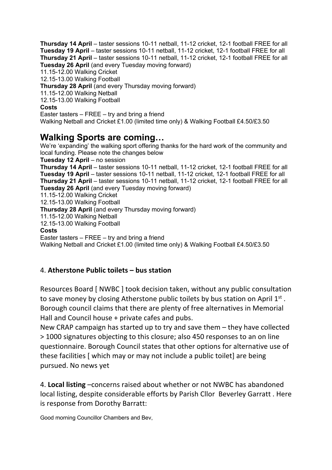**Thursday 14 April** – taster sessions 10-11 netball, 11-12 cricket, 12-1 football FREE for all **Tuesday 19 April** – taster sessions 10-11 netball, 11-12 cricket, 12-1 football FREE for all **Thursday 21 April** – taster sessions 10-11 netball, 11-12 cricket, 12-1 football FREE for all **Tuesday 26 April** (and every Tuesday moving forward) 11.15-12.00 Walking Cricket 12.15-13.00 Walking Football **Thursday 28 April** (and every Thursday moving forward) 11.15-12.00 Walking Netball 12.15-13.00 Walking Football **Costs** Easter tasters – FREE – try and bring a friend Walking Netball and Cricket £1.00 (limited time only) & Walking Football £4.50/£3.50

# **Walking Sports are coming…**

We're 'expanding' the walking sport offering thanks for the hard work of the community and local funding. Please note the changes below **Tuesday 12 April** – no session **Thursday 14 April** – taster sessions 10-11 netball, 11-12 cricket, 12-1 football FREE for all **Tuesday 19 April** – taster sessions 10-11 netball, 11-12 cricket, 12-1 football FREE for all **Thursday 21 April** – taster sessions 10-11 netball, 11-12 cricket, 12-1 football FREE for all **Tuesday 26 April** (and every Tuesday moving forward) 11.15-12.00 Walking Cricket 12.15-13.00 Walking Football **Thursday 28 April** (and every Thursday moving forward) 11.15-12.00 Walking Netball 12.15-13.00 Walking Football **Costs** Easter tasters – FREE – try and bring a friend Walking Netball and Cricket £1.00 (limited time only) & Walking Football £4.50/£3.50

### 4. **Atherstone Public toilets – bus station**

Resources Board [ NWBC ] took decision taken, without any public consultation to save money by closing Atherstone public toilets by bus station on April  $1<sup>st</sup>$ . Borough council claims that there are plenty of free alternatives in Memorial Hall and Council house + private cafes and pubs.

New CRAP campaign has started up to try and save them – they have collected > 1000 signatures objecting to this closure; also 450 responses to an on line questionnaire. Borough Council states that other options for alternative use of these facilities [ which may or may not include a public toilet] are being pursued. No news yet

4. **Local listing** –concerns raised about whether or not NWBC has abandoned local listing, despite considerable efforts by Parish Cllor Beverley Garratt . Here is response from Dorothy Barratt:

Good morning Councillor Chambers and Bev,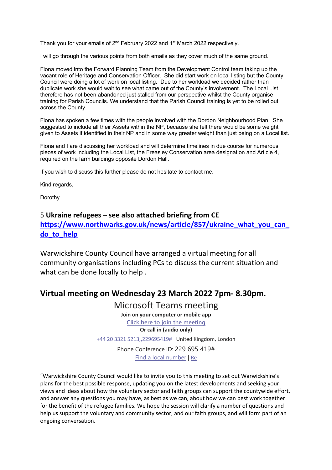Thank you for your emails of 2<sup>nd</sup> February 2022 and 1<sup>st</sup> March 2022 respectively.

I will go through the various points from both emails as they cover much of the same ground.

Fiona moved into the Forward Planning Team from the Development Control team taking up the vacant role of Heritage and Conservation Officer. She did start work on local listing but the County Council were doing a lot of work on local listing. Due to her workload we decided rather than duplicate work she would wait to see what came out of the County's involvement. The Local List therefore has not been abandoned just stalled from our perspective whilst the County organise training for Parish Councils. We understand that the Parish Council training is yet to be rolled out across the County.

Fiona has spoken a few times with the people involved with the Dordon Neighbourhood Plan. She suggested to include all their Assets within the NP, because she felt there would be some weight given to Assets if identified in their NP and in some way greater weight than just being on a Local list.

Fiona and I are discussing her workload and will determine timelines in due course for numerous pieces of work including the Local List, the Freasley Conservation area designation and Article 4, required on the farm buildings opposite Dordon Hall.

If you wish to discuss this further please do not hesitate to contact me.

Kind regards,

Dorothy

### 5 **Ukraine refugees – see also attached briefing from CE https://www.northwarks.gov.uk/news/article/857/ukraine\_what\_you\_can\_ do\_to\_help**

Warwickshire County Council have arranged a virtual meeting for all community organisations including PCs to discuss the current situation and what can be done locally to help .

### **Virtual meeting on Wednesday 23 March 2022 7pm- 8.30pm.**

Microsoft Teams meeting **Join on your computer or mobile app Click here to join the meeting Or call in (audio only)** +44 20 3321 5213,,229695419# United Kingdom, London

Phone Conference ID: 229 695 419# Find a local number | Re

"Warwickshire County Council would like to invite you to this meeting to set out Warwickshire's plans for the best possible response, updating you on the latest developments and seeking your views and ideas about how the voluntary sector and faith groups can support the countywide effort, and answer any questions you may have, as best as we can, about how we can best work together for the benefit of the refugee families. We hope the session will clarify a number of questions and help us support the voluntary and community sector, and our faith groups, and will form part of an ongoing conversation.